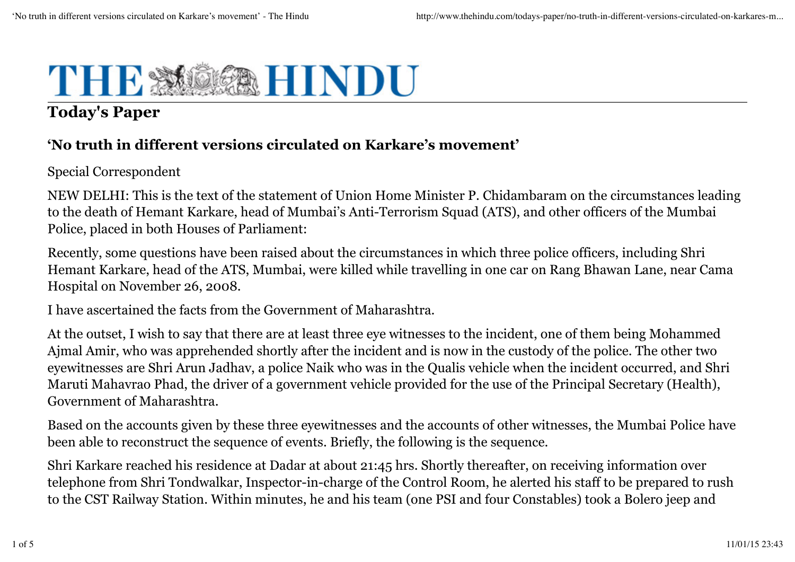

# **Today's Paper**

#### **'No truth in different versions circulated on Karkare's movement'**

Special Correspondent

NEW DELHI: This is the text of the statement of Union Home Minister P. Chidambaram on the circumstances leading to the death of Hemant Karkare, head of Mumbai's Anti-Terrorism Squad (ATS), and other officers of the Mumbai Police, placed in both Houses of Parliament:

Recently, some questions have been raised about the circumstances in which three police officers, including Shri Hemant Karkare, head of the ATS, Mumbai, were killed while travelling in one car on Rang Bhawan Lane, near Cama Hospital on November 26, 2008.

I have ascertained the facts from the Government of Maharashtra.

At the outset, I wish to say that there are at least three eye witnesses to the incident, one of them being Mohammed Ajmal Amir, who was apprehended shortly after the incident and is now in the custody of the police. The other two eyewitnesses are Shri Arun Jadhav, a police Naik who was in the Qualis vehicle when the incident occurred, and Shri Maruti Mahavrao Phad, the driver of a government vehicle provided for the use of the Principal Secretary (Health), Government of Maharashtra.

Based on the accounts given by these three eyewitnesses and the accounts of other witnesses, the Mumbai Police have been able to reconstruct the sequence of events. Briefly, the following is the sequence.

Shri Karkare reached his residence at Dadar at about 21:45 hrs. Shortly thereafter, on receiving information over telephone from Shri Tondwalkar, Inspector-in-charge of the Control Room, he alerted his staff to be prepared to rush to the CST Railway Station. Within minutes, he and his team (one PSI and four Constables) took a Bolero jeep and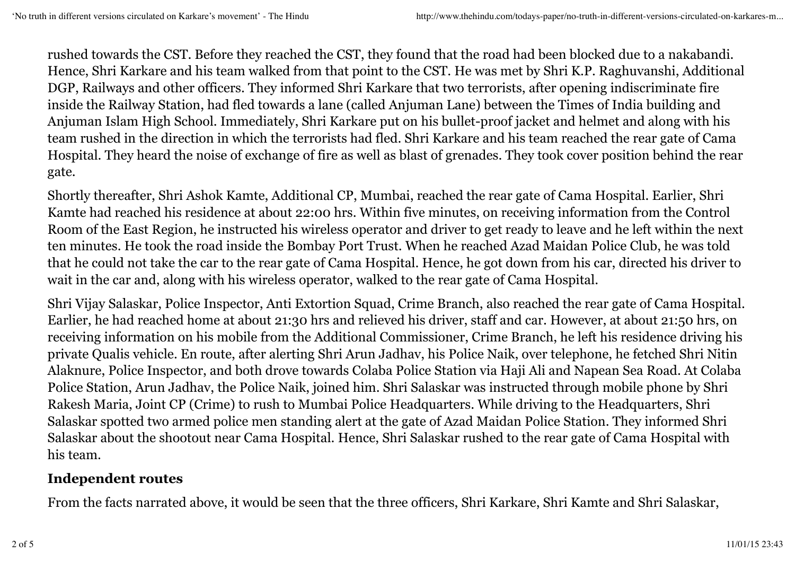rushed towards the CST. Before they reached the CST, they found that the road had been blocked due to a nakabandi. Hence, Shri Karkare and his team walked from that point to the CST. He was met by Shri K.P. Raghuvanshi, Additional DGP, Railways and other officers. They informed Shri Karkare that two terrorists, after opening indiscriminate fire inside the Railway Station, had fled towards a lane (called Anjuman Lane) between the Times of India building and Anjuman Islam High School. Immediately, Shri Karkare put on his bullet-proof jacket and helmet and along with his team rushed in the direction in which the terrorists had fled. Shri Karkare and his team reached the rear gate of Cama Hospital. They heard the noise of exchange of fire as well as blast of grenades. They took cover position behind the rear gate.

Shortly thereafter, Shri Ashok Kamte, Additional CP, Mumbai, reached the rear gate of Cama Hospital. Earlier, Shri Kamte had reached his residence at about 22:00 hrs. Within five minutes, on receiving information from the Control Room of the East Region, he instructed his wireless operator and driver to get ready to leave and he left within the next ten minutes. He took the road inside the Bombay Port Trust. When he reached Azad Maidan Police Club, he was told that he could not take the car to the rear gate of Cama Hospital. Hence, he got down from his car, directed his driver to wait in the car and, along with his wireless operator, walked to the rear gate of Cama Hospital.

Shri Vijay Salaskar, Police Inspector, Anti Extortion Squad, Crime Branch, also reached the rear gate of Cama Hospital. Earlier, he had reached home at about 21:30 hrs and relieved his driver, staff and car. However, at about 21:50 hrs, on receiving information on his mobile from the Additional Commissioner, Crime Branch, he left his residence driving his private Qualis vehicle. En route, after alerting Shri Arun Jadhav, his Police Naik, over telephone, he fetched Shri Nitin Alaknure, Police Inspector, and both drove towards Colaba Police Station via Haji Ali and Napean Sea Road. At Colaba Police Station, Arun Jadhav, the Police Naik, joined him. Shri Salaskar was instructed through mobile phone by Shri Rakesh Maria, Joint CP (Crime) to rush to Mumbai Police Headquarters. While driving to the Headquarters, Shri Salaskar spotted two armed police men standing alert at the gate of Azad Maidan Police Station. They informed Shri Salaskar about the shootout near Cama Hospital. Hence, Shri Salaskar rushed to the rear gate of Cama Hospital with his team.

## **Independent routes**

From the facts narrated above, it would be seen that the three officers, Shri Karkare, Shri Kamte and Shri Salaskar,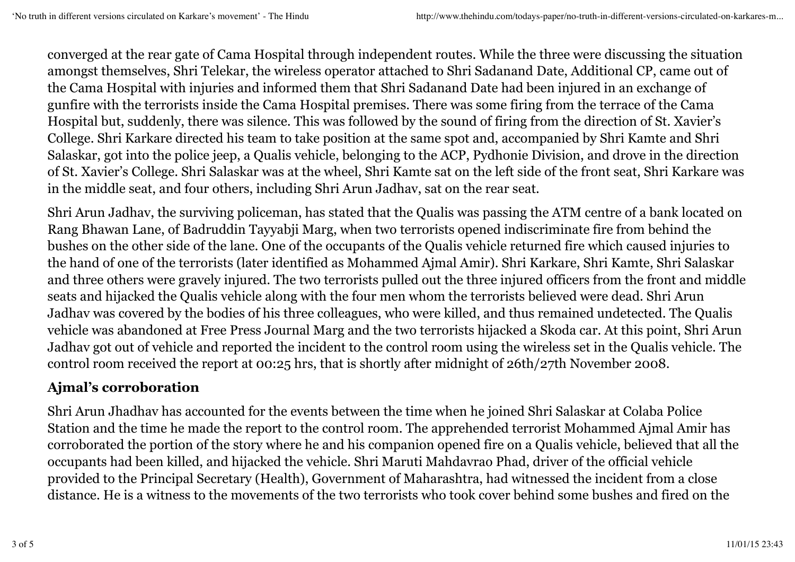converged at the rear gate of Cama Hospital through independent routes. While the three were discussing the situation amongst themselves, Shri Telekar, the wireless operator attached to Shri Sadanand Date, Additional CP, came out of the Cama Hospital with injuries and informed them that Shri Sadanand Date had been injured in an exchange of gunfire with the terrorists inside the Cama Hospital premises. There was some firing from the terrace of the Cama Hospital but, suddenly, there was silence. This was followed by the sound of firing from the direction of St. Xavier's College. Shri Karkare directed his team to take position at the same spot and, accompanied by Shri Kamte and Shri Salaskar, got into the police jeep, a Qualis vehicle, belonging to the ACP, Pydhonie Division, and drove in the direction of St. Xavier's College. Shri Salaskar was at the wheel, Shri Kamte sat on the left side of the front seat, Shri Karkare was in the middle seat, and four others, including Shri Arun Jadhav, sat on the rear seat.

Shri Arun Jadhav, the surviving policeman, has stated that the Qualis was passing the ATM centre of a bank located on Rang Bhawan Lane, of Badruddin Tayyabji Marg, when two terrorists opened indiscriminate fire from behind the bushes on the other side of the lane. One of the occupants of the Qualis vehicle returned fire which caused injuries to the hand of one of the terrorists (later identified as Mohammed Ajmal Amir). Shri Karkare, Shri Kamte, Shri Salaskar and three others were gravely injured. The two terrorists pulled out the three injured officers from the front and middle seats and hijacked the Qualis vehicle along with the four men whom the terrorists believed were dead. Shri Arun Jadhav was covered by the bodies of his three colleagues, who were killed, and thus remained undetected. The Qualis vehicle was abandoned at Free Press Journal Marg and the two terrorists hijacked a Skoda car. At this point, Shri Arun Jadhav got out of vehicle and reported the incident to the control room using the wireless set in the Qualis vehicle. The control room received the report at 00:25 hrs, that is shortly after midnight of 26th/27th November 2008.

## **Ajmal's corroboration**

Shri Arun Jhadhav has accounted for the events between the time when he joined Shri Salaskar at Colaba Police Station and the time he made the report to the control room. The apprehended terrorist Mohammed Ajmal Amir has corroborated the portion of the story where he and his companion opened fire on a Qualis vehicle, believed that all the occupants had been killed, and hijacked the vehicle. Shri Maruti Mahdavrao Phad, driver of the official vehicle provided to the Principal Secretary (Health), Government of Maharashtra, had witnessed the incident from a close distance. He is a witness to the movements of the two terrorists who took cover behind some bushes and fired on the